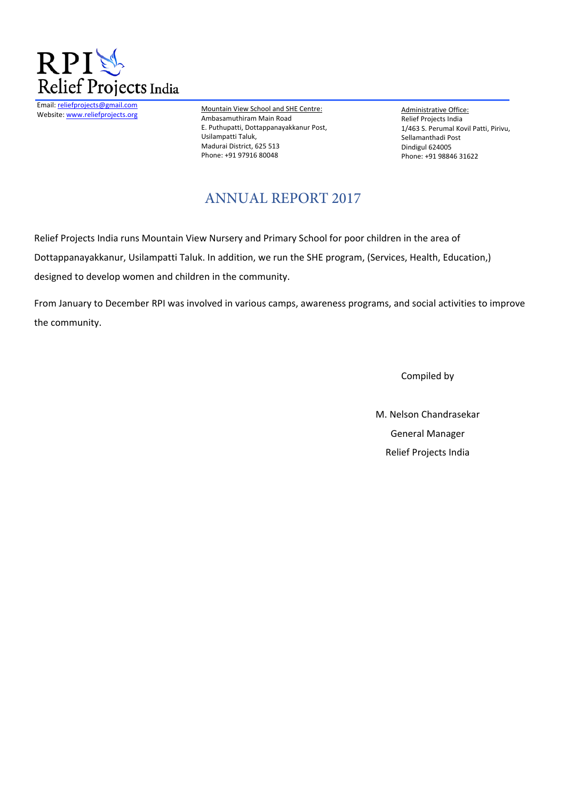

Email: reliefprojects@gmail.com Website: www.reliefprojects.org

Mountain View School and SHE Centre: Ambasamuthiram Main Road E. Puthupatti, Dottappanayakkanur Post, Usilampatti Taluk, Madurai District, 625 513 Phone: +91 97916 80048

Administrative Office: Relief Projects India 1/463 S. Perumal Kovil Patti, Pirivu, Sellamanthadi Post Dindigul 624005 Phone: +91 98846 31622

# ANNUAL REPORT 2017

Relief Projects India runs Mountain View Nursery and Primary School for poor children in the area of Dottappanayakkanur, Usilampatti Taluk. In addition, we run the SHE program, (Services, Health, Education,) designed to develop women and children in the community.

From January to December RPI was involved in various camps, awareness programs, and social activities to improve the community.

Compiled by

M. Nelson Chandrasekar General Manager Relief Projects India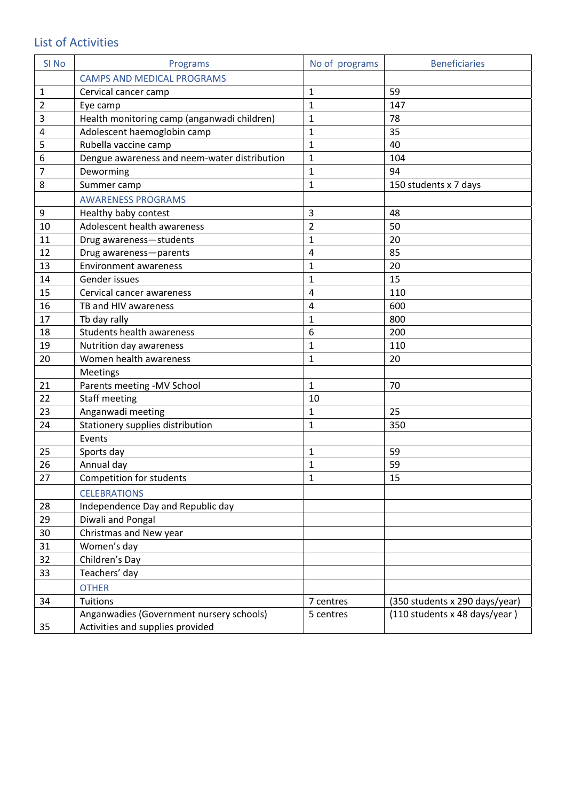## List of Activities

| SI <sub>No</sub> | Programs                                     | No of programs | <b>Beneficiaries</b>            |
|------------------|----------------------------------------------|----------------|---------------------------------|
|                  | <b>CAMPS AND MEDICAL PROGRAMS</b>            |                |                                 |
| 1                | Cervical cancer camp                         | 1              | 59                              |
| $\overline{2}$   | Eye camp                                     | 1              | 147                             |
| 3                | Health monitoring camp (anganwadi children)  | $\mathbf{1}$   | 78                              |
| 4                | Adolescent haemoglobin camp                  | 1              | 35                              |
| 5                | Rubella vaccine camp                         | 1              | 40                              |
| 6                | Dengue awareness and neem-water distribution | $\mathbf{1}$   | 104                             |
| 7                | Deworming                                    | 1              | 94                              |
| 8                | Summer camp                                  | 1              | 150 students x 7 days           |
|                  | <b>AWARENESS PROGRAMS</b>                    |                |                                 |
| 9                | Healthy baby contest                         | 3              | 48                              |
| 10               | Adolescent health awareness                  | $\overline{2}$ | 50                              |
| 11               | Drug awareness-students                      | 1              | 20                              |
| 12               | Drug awareness-parents                       | 4              | 85                              |
| 13               | <b>Environment awareness</b>                 | 1              | 20                              |
| 14               | Gender issues                                | 1              | 15                              |
| 15               | Cervical cancer awareness                    | 4              | 110                             |
| 16               | TB and HIV awareness                         | 4              | 600                             |
| 17               | Tb day rally                                 | 1              | 800                             |
| 18               | Students health awareness                    | 6              | 200                             |
| 19               | Nutrition day awareness                      | $\mathbf{1}$   | 110                             |
| 20               | Women health awareness                       | 1              | 20                              |
|                  | Meetings                                     |                |                                 |
| 21               | Parents meeting -MV School                   | $\mathbf{1}$   | 70                              |
| 22               | <b>Staff meeting</b>                         | 10             |                                 |
| 23               | Anganwadi meeting                            | 1              | 25                              |
| 24               | Stationery supplies distribution             | 1              | 350                             |
|                  | Events                                       |                |                                 |
| 25               | Sports day                                   | 1              | 59                              |
| 26               | Annual day                                   | 1              | 59                              |
| 27               | <b>Competition for students</b>              | 1              | 15                              |
|                  | <b>CELEBRATIONS</b>                          |                |                                 |
| 28               | Independence Day and Republic day            |                |                                 |
| 29               | Diwali and Pongal                            |                |                                 |
| 30               | Christmas and New year                       |                |                                 |
| 31               | Women's day                                  |                |                                 |
| 32               | Children's Day                               |                |                                 |
| 33               | Teachers' day                                |                |                                 |
|                  | <b>OTHER</b>                                 |                |                                 |
| 34               | Tuitions                                     | 7 centres      | (350 students x 290 days/year)  |
|                  | Anganwadies (Government nursery schools)     | 5 centres      | $(110$ students x 48 days/year) |
| 35               | Activities and supplies provided             |                |                                 |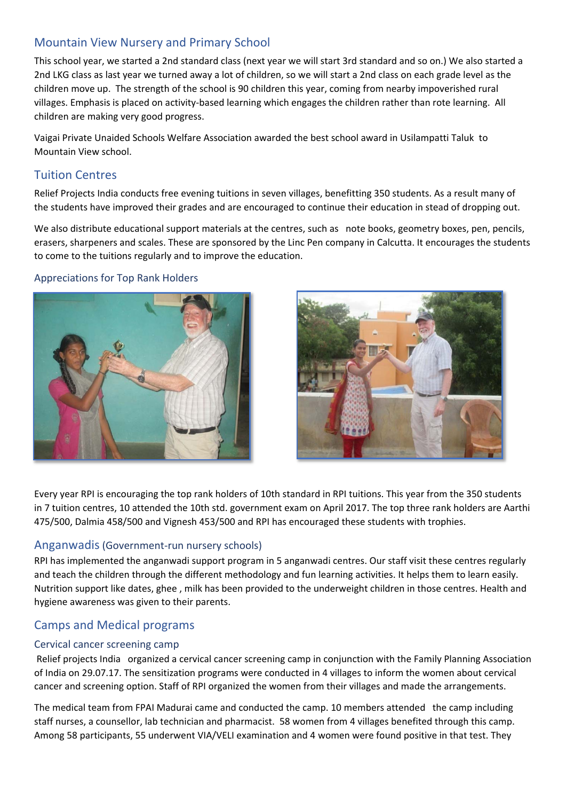## Mountain View Nursery and Primary School

This school year, we started a 2nd standard class (next year we will start 3rd standard and so on.) We also started a 2nd LKG class as last year we turned away a lot of children, so we will start a 2nd class on each grade level as the children move up. The strength of the school is 90 children this year, coming from nearby impoverished rural villages. Emphasis is placed on activity-based learning which engages the children rather than rote learning. All children are making very good progress.

Vaigai Private Unaided Schools Welfare Association awarded the best school award in Usilampatti Taluk to Mountain View school.

## Tuition Centres

Relief Projects India conducts free evening tuitions in seven villages, benefitting 350 students. As a result many of the students have improved their grades and are encouraged to continue their education in stead of dropping out.

We also distribute educational support materials at the centres, such as note books, geometry boxes, pen, pencils, erasers, sharpeners and scales. These are sponsored by the Linc Pen company in Calcutta. It encourages the students to come to the tuitions regularly and to improve the education.

#### Appreciations for Top Rank Holders





Every year RPI is encouraging the top rank holders of 10th standard in RPI tuitions. This year from the 350 students in 7 tuition centres, 10 attended the 10th std. government exam on April 2017. The top three rank holders are Aarthi 475/500, Dalmia 458/500 and Vignesh 453/500 and RPI has encouraged these students with trophies.

## Anganwadis (Government-run nursery schools)

RPI has implemented the anganwadi support program in 5 anganwadi centres. Our staff visit these centres regularly and teach the children through the different methodology and fun learning activities. It helps them to learn easily. Nutrition support like dates, ghee , milk has been provided to the underweight children in those centres. Health and hygiene awareness was given to their parents.

## Camps and Medical programs

### Cervical cancer screening camp

 Relief projects India organized a cervical cancer screening camp in conjunction with the Family Planning Association of India on 29.07.17. The sensitization programs were conducted in 4 villages to inform the women about cervical cancer and screening option. Staff of RPI organized the women from their villages and made the arrangements.

The medical team from FPAI Madurai came and conducted the camp. 10 members attended the camp including staff nurses, a counsellor, lab technician and pharmacist. 58 women from 4 villages benefited through this camp. Among 58 participants, 55 underwent VIA/VELI examination and 4 women were found positive in that test. They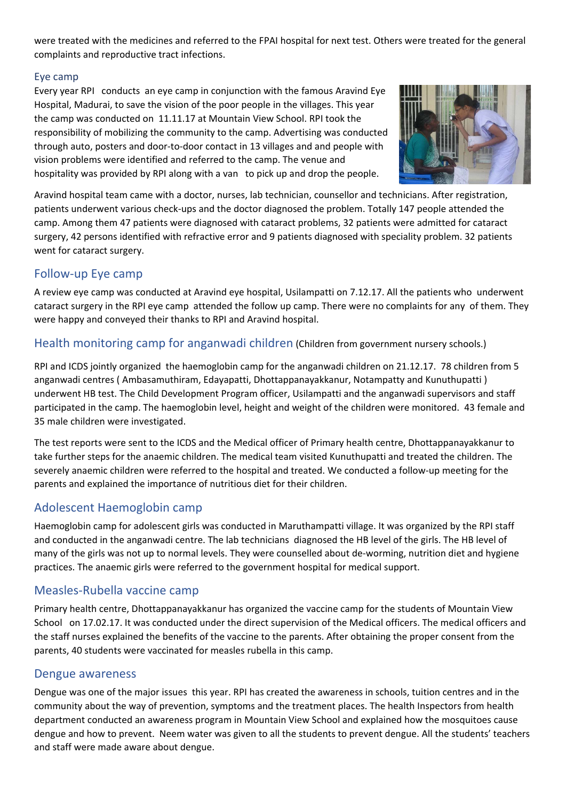were treated with the medicines and referred to the FPAI hospital for next test. Others were treated for the general complaints and reproductive tract infections.

## Eye camp

Every year RPI conducts an eye camp in conjunction with the famous Aravind Eye Hospital, Madurai, to save the vision of the poor people in the villages. This year the camp was conducted on 11.11.17 at Mountain View School. RPI took the responsibility of mobilizing the community to the camp. Advertising was conducted through auto, posters and door-to-door contact in 13 villages and and people with vision problems were identified and referred to the camp. The venue and hospitality was provided by RPI along with a van to pick up and drop the people.



Aravind hospital team came with a doctor, nurses, lab technician, counsellor and technicians. After registration, patients underwent various check-ups and the doctor diagnosed the problem. Totally 147 people attended the camp. Among them 47 patients were diagnosed with cataract problems, 32 patients were admitted for cataract surgery, 42 persons identified with refractive error and 9 patients diagnosed with speciality problem. 32 patients went for cataract surgery.

## Follow-up Eye camp

A review eye camp was conducted at Aravind eye hospital, Usilampatti on 7.12.17. All the patients who underwent cataract surgery in the RPI eye camp attended the follow up camp. There were no complaints for any of them. They were happy and conveyed their thanks to RPI and Aravind hospital.

## Health monitoring camp for anganwadi children (Children from government nursery schools.)

RPI and ICDS jointly organized the haemoglobin camp for the anganwadi children on 21.12.17. 78 children from 5 anganwadi centres ( Ambasamuthiram, Edayapatti, Dhottappanayakkanur, Notampatty and Kunuthupatti ) underwent HB test. The Child Development Program officer, Usilampatti and the anganwadi supervisors and staff participated in the camp. The haemoglobin level, height and weight of the children were monitored. 43 female and 35 male children were investigated.

The test reports were sent to the ICDS and the Medical officer of Primary health centre, Dhottappanayakkanur to take further steps for the anaemic children. The medical team visited Kunuthupatti and treated the children. The severely anaemic children were referred to the hospital and treated. We conducted a follow-up meeting for the parents and explained the importance of nutritious diet for their children.

## Adolescent Haemoglobin camp

Haemoglobin camp for adolescent girls was conducted in Maruthampatti village. It was organized by the RPI staff and conducted in the anganwadi centre. The lab technicians diagnosed the HB level of the girls. The HB level of many of the girls was not up to normal levels. They were counselled about de-worming, nutrition diet and hygiene practices. The anaemic girls were referred to the government hospital for medical support.

## Measles-Rubella vaccine camp

Primary health centre, Dhottappanayakkanur has organized the vaccine camp for the students of Mountain View School on 17.02.17. It was conducted under the direct supervision of the Medical officers. The medical officers and the staff nurses explained the benefits of the vaccine to the parents. After obtaining the proper consent from the parents, 40 students were vaccinated for measles rubella in this camp.

## Dengue awareness

Dengue was one of the major issues this year. RPI has created the awareness in schools, tuition centres and in the community about the way of prevention, symptoms and the treatment places. The health Inspectors from health department conducted an awareness program in Mountain View School and explained how the mosquitoes cause dengue and how to prevent. Neem water was given to all the students to prevent dengue. All the students' teachers and staff were made aware about dengue.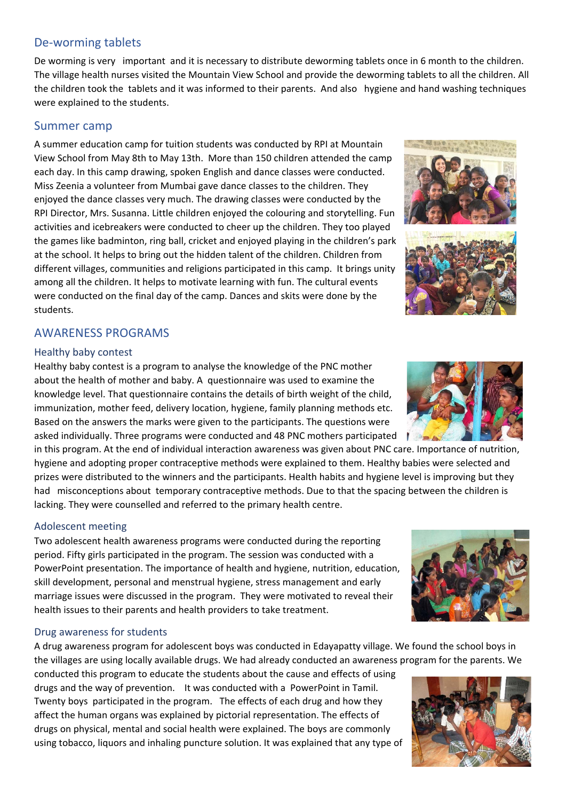## De-worming tablets

De worming is very important and it is necessary to distribute deworming tablets once in 6 month to the children. The village health nurses visited the Mountain View School and provide the deworming tablets to all the children. All the children took the tablets and it was informed to their parents. And also hygiene and hand washing techniques were explained to the students.

## Summer camp

A summer education camp for tuition students was conducted by RPI at Mountain View School from May 8th to May 13th. More than 150 children attended the camp each day. In this camp drawing, spoken English and dance classes were conducted. Miss Zeenia a volunteer from Mumbai gave dance classes to the children. They enjoyed the dance classes very much. The drawing classes were conducted by the RPI Director, Mrs. Susanna. Little children enjoyed the colouring and storytelling. Fun activities and icebreakers were conducted to cheer up the children. They too played the games like badminton, ring ball, cricket and enjoyed playing in the children's park at the school. It helps to bring out the hidden talent of the children. Children from different villages, communities and religions participated in this camp. It brings unity among all the children. It helps to motivate learning with fun. The cultural events were conducted on the final day of the camp. Dances and skits were done by the students.

## AWARENESS PROGRAMS

### Healthy baby contest

Healthy baby contest is a program to analyse the knowledge of the PNC mother about the health of mother and baby. A questionnaire was used to examine the knowledge level. That questionnaire contains the details of birth weight of the child, immunization, mother feed, delivery location, hygiene, family planning methods etc. Based on the answers the marks were given to the participants. The questions were asked individually. Three programs were conducted and 48 PNC mothers participated

in this program. At the end of individual interaction awareness was given about PNC care. Importance of nutrition, hygiene and adopting proper contraceptive methods were explained to them. Healthy babies were selected and prizes were distributed to the winners and the participants. Health habits and hygiene level is improving but they had misconceptions about temporary contraceptive methods. Due to that the spacing between the children is lacking. They were counselled and referred to the primary health centre.

## Adolescent meeting

Two adolescent health awareness programs were conducted during the reporting period. Fifty girls participated in the program. The session was conducted with a PowerPoint presentation. The importance of health and hygiene, nutrition, education, skill development, personal and menstrual hygiene, stress management and early marriage issues were discussed in the program. They were motivated to reveal their health issues to their parents and health providers to take treatment.

## Drug awareness for students

A drug awareness program for adolescent boys was conducted in Edayapatty village. We found the school boys in the villages are using locally available drugs. We had already conducted an awareness program for the parents. We

conducted this program to educate the students about the cause and effects of using drugs and the way of prevention. It was conducted with a PowerPoint in Tamil. Twenty boys participated in the program. The effects of each drug and how they affect the human organs was explained by pictorial representation. The effects of drugs on physical, mental and social health were explained. The boys are commonly using tobacco, liquors and inhaling puncture solution. It was explained that any type of







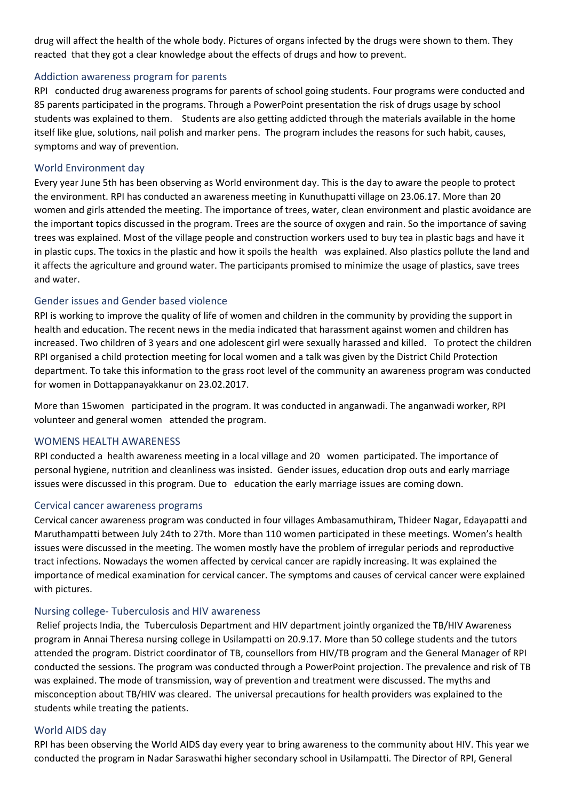drug will affect the health of the whole body. Pictures of organs infected by the drugs were shown to them. They reacted that they got a clear knowledge about the effects of drugs and how to prevent.

#### Addiction awareness program for parents

RPI conducted drug awareness programs for parents of school going students. Four programs were conducted and 85 parents participated in the programs. Through a PowerPoint presentation the risk of drugs usage by school students was explained to them. Students are also getting addicted through the materials available in the home itself like glue, solutions, nail polish and marker pens. The program includes the reasons for such habit, causes, symptoms and way of prevention.

#### World Environment day

Every year June 5th has been observing as World environment day. This is the day to aware the people to protect the environment. RPI has conducted an awareness meeting in Kunuthupatti village on 23.06.17. More than 20 women and girls attended the meeting. The importance of trees, water, clean environment and plastic avoidance are the important topics discussed in the program. Trees are the source of oxygen and rain. So the importance of saving trees was explained. Most of the village people and construction workers used to buy tea in plastic bags and have it in plastic cups. The toxics in the plastic and how it spoils the health was explained. Also plastics pollute the land and it affects the agriculture and ground water. The participants promised to minimize the usage of plastics, save trees and water.

#### Gender issues and Gender based violence

RPI is working to improve the quality of life of women and children in the community by providing the support in health and education. The recent news in the media indicated that harassment against women and children has increased. Two children of 3 years and one adolescent girl were sexually harassed and killed. To protect the children RPI organised a child protection meeting for local women and a talk was given by the District Child Protection department. To take this information to the grass root level of the community an awareness program was conducted for women in Dottappanayakkanur on 23.02.2017.

More than 15women participated in the program. It was conducted in anganwadi. The anganwadi worker, RPI volunteer and general women attended the program.

#### WOMENS HEALTH AWARENESS

RPI conducted a health awareness meeting in a local village and 20 women participated. The importance of personal hygiene, nutrition and cleanliness was insisted. Gender issues, education drop outs and early marriage issues were discussed in this program. Due to education the early marriage issues are coming down.

#### Cervical cancer awareness programs

Cervical cancer awareness program was conducted in four villages Ambasamuthiram, Thideer Nagar, Edayapatti and Maruthampatti between July 24th to 27th. More than 110 women participated in these meetings. Women's health issues were discussed in the meeting. The women mostly have the problem of irregular periods and reproductive tract infections. Nowadays the women affected by cervical cancer are rapidly increasing. It was explained the importance of medical examination for cervical cancer. The symptoms and causes of cervical cancer were explained with pictures.

#### Nursing college- Tuberculosis and HIV awareness

 Relief projects India, the Tuberculosis Department and HIV department jointly organized the TB/HIV Awareness program in Annai Theresa nursing college in Usilampatti on 20.9.17. More than 50 college students and the tutors attended the program. District coordinator of TB, counsellors from HIV/TB program and the General Manager of RPI conducted the sessions. The program was conducted through a PowerPoint projection. The prevalence and risk of TB was explained. The mode of transmission, way of prevention and treatment were discussed. The myths and misconception about TB/HIV was cleared. The universal precautions for health providers was explained to the students while treating the patients.

#### World AIDS day

RPI has been observing the World AIDS day every year to bring awareness to the community about HIV. This year we conducted the program in Nadar Saraswathi higher secondary school in Usilampatti. The Director of RPI, General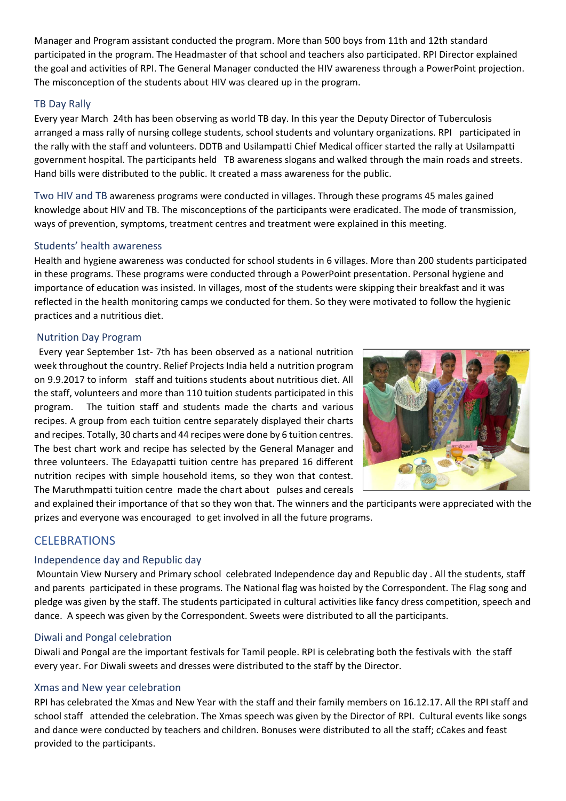Manager and Program assistant conducted the program. More than 500 boys from 11th and 12th standard participated in the program. The Headmaster of that school and teachers also participated. RPI Director explained the goal and activities of RPI. The General Manager conducted the HIV awareness through a PowerPoint projection. The misconception of the students about HIV was cleared up in the program.

### TB Day Rally

Every year March 24th has been observing as world TB day. In this year the Deputy Director of Tuberculosis arranged a mass rally of nursing college students, school students and voluntary organizations. RPI participated in the rally with the staff and volunteers. DDTB and Usilampatti Chief Medical officer started the rally at Usilampatti government hospital. The participants held TB awareness slogans and walked through the main roads and streets. Hand bills were distributed to the public. It created a mass awareness for the public.

Two HIV and TB awareness programs were conducted in villages. Through these programs 45 males gained knowledge about HIV and TB. The misconceptions of the participants were eradicated. The mode of transmission, ways of prevention, symptoms, treatment centres and treatment were explained in this meeting.

### Students' health awareness

Health and hygiene awareness was conducted for school students in 6 villages. More than 200 students participated in these programs. These programs were conducted through a PowerPoint presentation. Personal hygiene and importance of education was insisted. In villages, most of the students were skipping their breakfast and it was reflected in the health monitoring camps we conducted for them. So they were motivated to follow the hygienic practices and a nutritious diet.

### Nutrition Day Program

 Every year September 1st- 7th has been observed as a national nutrition week throughout the country. Relief Projects India held a nutrition program on 9.9.2017 to inform staff and tuitions students about nutritious diet. All the staff, volunteers and more than 110 tuition students participated in this program. The tuition staff and students made the charts and various recipes. A group from each tuition centre separately displayed their charts and recipes. Totally, 30 charts and 44 recipes were done by 6 tuition centres. The best chart work and recipe has selected by the General Manager and three volunteers. The Edayapatti tuition centre has prepared 16 different nutrition recipes with simple household items, so they won that contest. The Maruthmpatti tuition centre made the chart about pulses and cereals



and explained their importance of that so they won that. The winners and the participants were appreciated with the prizes and everyone was encouraged to get involved in all the future programs.

## **CELEBRATIONS**

### Independence day and Republic day

 Mountain View Nursery and Primary school celebrated Independence day and Republic day . All the students, staff and parents participated in these programs. The National flag was hoisted by the Correspondent. The Flag song and pledge was given by the staff. The students participated in cultural activities like fancy dress competition, speech and dance. A speech was given by the Correspondent. Sweets were distributed to all the participants.

### Diwali and Pongal celebration

Diwali and Pongal are the important festivals for Tamil people. RPI is celebrating both the festivals with the staff every year. For Diwali sweets and dresses were distributed to the staff by the Director.

### Xmas and New year celebration

RPI has celebrated the Xmas and New Year with the staff and their family members on 16.12.17. All the RPI staff and school staff attended the celebration. The Xmas speech was given by the Director of RPI. Cultural events like songs and dance were conducted by teachers and children. Bonuses were distributed to all the staff; cCakes and feast provided to the participants.